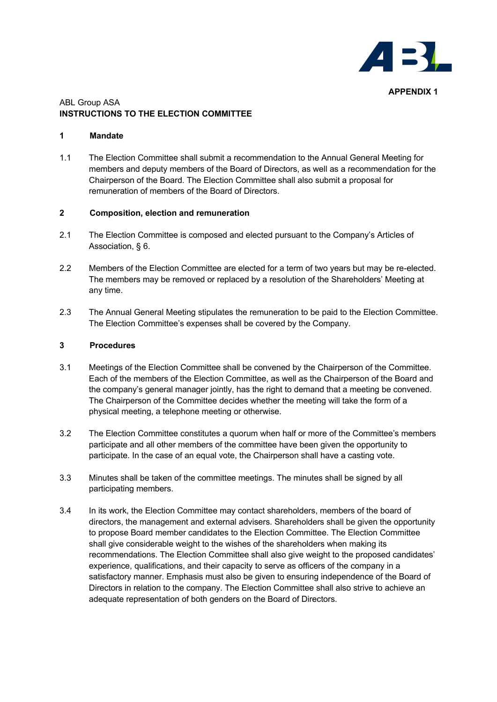

# ABL Group ASA **INSTRUCTIONS TO THE ELECTION COMMITTEE**

#### **1 Mandate**

1.1 The Election Committee shall submit a recommendation to the Annual General Meeting for members and deputy members of the Board of Directors, as well as a recommendation for the Chairperson of the Board. The Election Committee shall also submit a proposal for remuneration of members of the Board of Directors.

# **2 Composition, election and remuneration**

- 2.1 The Election Committee is composed and elected pursuant to the Company's Articles of Association, § 6.
- 2.2 Members of the Election Committee are elected for a term of two years but may be re-elected. The members may be removed or replaced by a resolution of the Shareholders' Meeting at any time.
- 2.3 The Annual General Meeting stipulates the remuneration to be paid to the Election Committee. The Election Committee's expenses shall be covered by the Company.

# **3 Procedures**

- 3.1 Meetings of the Election Committee shall be convened by the Chairperson of the Committee. Each of the members of the Election Committee, as well as the Chairperson of the Board and the company's general manager jointly, has the right to demand that a meeting be convened. The Chairperson of the Committee decides whether the meeting will take the form of a physical meeting, a telephone meeting or otherwise.
- 3.2 The Election Committee constitutes a quorum when half or more of the Committee's members participate and all other members of the committee have been given the opportunity to participate. In the case of an equal vote, the Chairperson shall have a casting vote.
- 3.3 Minutes shall be taken of the committee meetings. The minutes shall be signed by all participating members.
- 3.4 In its work, the Election Committee may contact shareholders, members of the board of directors, the management and external advisers. Shareholders shall be given the opportunity to propose Board member candidates to the Election Committee. The Election Committee shall give considerable weight to the wishes of the shareholders when making its recommendations. The Election Committee shall also give weight to the proposed candidates' experience, qualifications, and their capacity to serve as officers of the company in a satisfactory manner. Emphasis must also be given to ensuring independence of the Board of Directors in relation to the company. The Election Committee shall also strive to achieve an adequate representation of both genders on the Board of Directors.